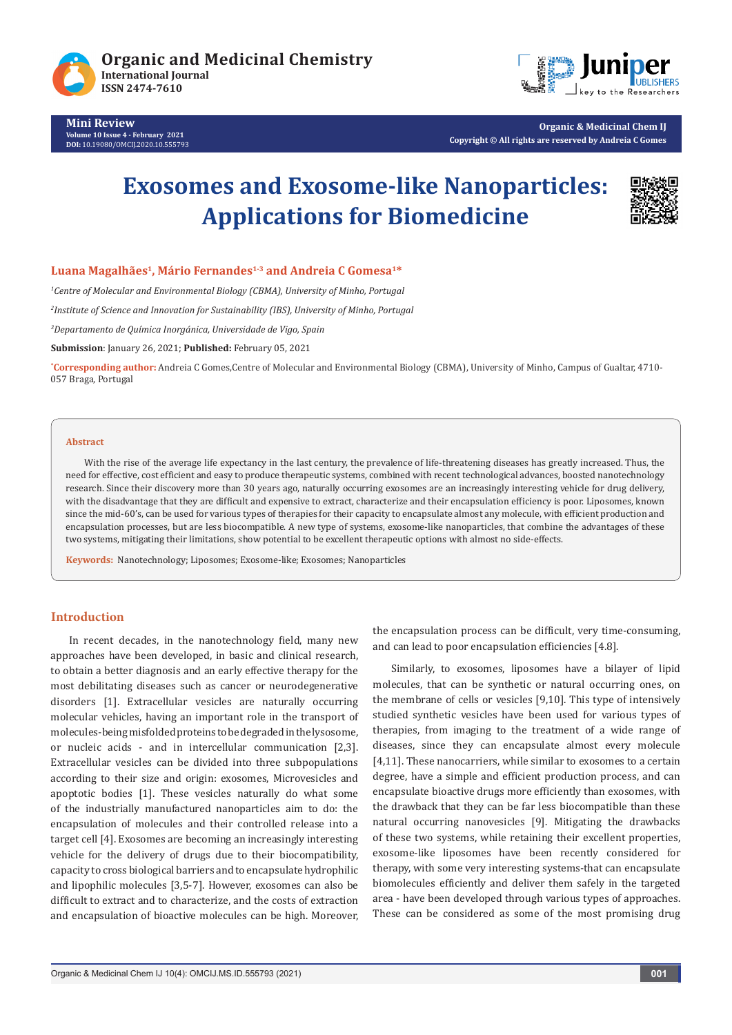

**Mini Review Volume 10 Issue 4 - February 2021 DOI:** [10.19080/OMCIJ.2020.10.5557](http://dx.doi.org/10.19080/OMCIJ.2020.10.555793)93



**Organic & Medicinal Chem IJ Copyright © All rights are reserved by Andreia C Gomes**

# **Exosomes and Exosome-like Nanoparticles: Applications for Biomedicine**



**Luana Magalhães1, Mário Fernandes1-3 and Andreia C Gomesa1\***

*1 Centre of Molecular and Environmental Biology (CBMA), University of Minho, Portugal*

*2 Institute of Science and Innovation for Sustainability (IBS), University of Minho, Portugal*

*3 Departamento de Química Inorgánica, Universidade de Vigo, Spain*

**Submission**: January 26, 2021; **Published:** February 05, 2021

**\* Corresponding author:** Andreia C Gomes,Centre of Molecular and Environmental Biology (CBMA), University of Minho, Campus of Gualtar, 4710- 057 Braga, Portugal

#### **Abstract**

With the rise of the average life expectancy in the last century, the prevalence of life-threatening diseases has greatly increased. Thus, the need for effective, cost efficient and easy to produce therapeutic systems, combined with recent technological advances, boosted nanotechnology research. Since their discovery more than 30 years ago, naturally occurring exosomes are an increasingly interesting vehicle for drug delivery, with the disadvantage that they are difficult and expensive to extract, characterize and their encapsulation efficiency is poor. Liposomes, known since the mid-60's, can be used for various types of therapies for their capacity to encapsulate almost any molecule, with efficient production and encapsulation processes, but are less biocompatible. A new type of systems, exosome-like nanoparticles, that combine the advantages of these two systems, mitigating their limitations, show potential to be excellent therapeutic options with almost no side-effects.

**Keywords:** Nanotechnology; Liposomes; Exosome-like; Exosomes; Nanoparticles

#### **Introduction**

In recent decades, in the nanotechnology field, many new approaches have been developed, in basic and clinical research, to obtain a better diagnosis and an early effective therapy for the most debilitating diseases such as cancer or neurodegenerative disorders [1]. Extracellular vesicles are naturally occurring molecular vehicles, having an important role in the transport of molecules-being misfolded proteins to be degraded in the lysosome, or nucleic acids - and in intercellular communication [2,3]. Extracellular vesicles can be divided into three subpopulations according to their size and origin: exosomes, Microvesicles and apoptotic bodies [1]. These vesicles naturally do what some of the industrially manufactured nanoparticles aim to do: the encapsulation of molecules and their controlled release into a target cell [4]. Exosomes are becoming an increasingly interesting vehicle for the delivery of drugs due to their biocompatibility, capacity to cross biological barriers and to encapsulate hydrophilic and lipophilic molecules [3,5-7]. However, exosomes can also be difficult to extract and to characterize, and the costs of extraction and encapsulation of bioactive molecules can be high. Moreover,

the encapsulation process can be difficult, very time-consuming, and can lead to poor encapsulation efficiencies [4.8].

Similarly, to exosomes, liposomes have a bilayer of lipid molecules, that can be synthetic or natural occurring ones, on the membrane of cells or vesicles [9,10]. This type of intensively studied synthetic vesicles have been used for various types of therapies, from imaging to the treatment of a wide range of diseases, since they can encapsulate almost every molecule [4,11]. These nanocarriers, while similar to exosomes to a certain degree, have a simple and efficient production process, and can encapsulate bioactive drugs more efficiently than exosomes, with the drawback that they can be far less biocompatible than these natural occurring nanovesicles [9]. Mitigating the drawbacks of these two systems, while retaining their excellent properties, exosome-like liposomes have been recently considered for therapy, with some very interesting systems-that can encapsulate biomolecules efficiently and deliver them safely in the targeted area - have been developed through various types of approaches. These can be considered as some of the most promising drug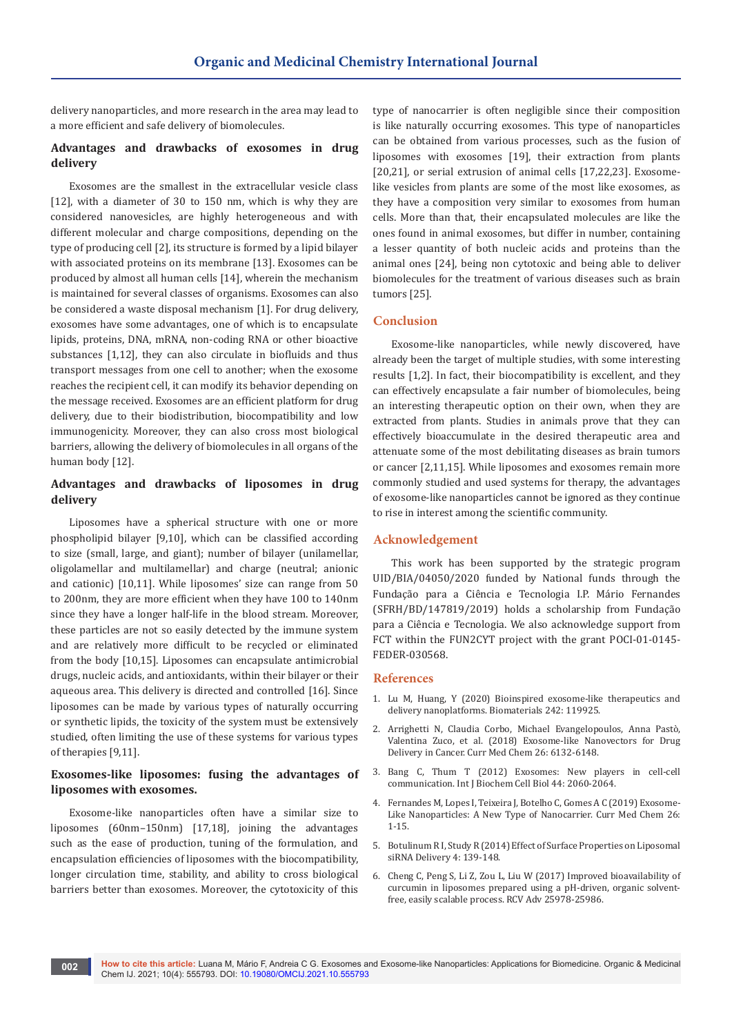delivery nanoparticles, and more research in the area may lead to a more efficient and safe delivery of biomolecules.

# **Advantages and drawbacks of exosomes in drug delivery**

Exosomes are the smallest in the extracellular vesicle class [12], with a diameter of 30 to 150 nm, which is why they are considered nanovesicles, are highly heterogeneous and with different molecular and charge compositions, depending on the type of producing cell [2], its structure is formed by a lipid bilayer with associated proteins on its membrane [13]. Exosomes can be produced by almost all human cells [14], wherein the mechanism is maintained for several classes of organisms. Exosomes can also be considered a waste disposal mechanism [1]. For drug delivery, exosomes have some advantages, one of which is to encapsulate lipids, proteins, DNA, mRNA, non-coding RNA or other bioactive substances [1,12], they can also circulate in biofluids and thus transport messages from one cell to another; when the exosome reaches the recipient cell, it can modify its behavior depending on the message received. Exosomes are an efficient platform for drug delivery, due to their biodistribution, biocompatibility and low immunogenicity. Moreover, they can also cross most biological barriers, allowing the delivery of biomolecules in all organs of the human body [12].

## **Advantages and drawbacks of liposomes in drug delivery**

Liposomes have a spherical structure with one or more phospholipid bilayer [9,10], which can be classified according to size (small, large, and giant); number of bilayer (unilamellar, oligolamellar and multilamellar) and charge (neutral; anionic and cationic) [10,11]. While liposomes' size can range from 50 to 200nm, they are more efficient when they have 100 to 140nm since they have a longer half-life in the blood stream. Moreover, these particles are not so easily detected by the immune system and are relatively more difficult to be recycled or eliminated from the body [10,15]. Liposomes can encapsulate antimicrobial drugs, nucleic acids, and antioxidants, within their bilayer or their aqueous area. This delivery is directed and controlled [16]. Since liposomes can be made by various types of naturally occurring or synthetic lipids, the toxicity of the system must be extensively studied, often limiting the use of these systems for various types of therapies [9,11].

# **Exosomes-like liposomes: fusing the advantages of liposomes with exosomes.**

Exosome-like nanoparticles often have a similar size to liposomes (60nm–150nm) [17,18], joining the advantages such as the ease of production, tuning of the formulation, and encapsulation efficiencies of liposomes with the biocompatibility, longer circulation time, stability, and ability to cross biological barriers better than exosomes. Moreover, the cytotoxicity of this

type of nanocarrier is often negligible since their composition is like naturally occurring exosomes. This type of nanoparticles can be obtained from various processes, such as the fusion of liposomes with exosomes [19], their extraction from plants [20,21], or serial extrusion of animal cells [17,22,23]. Exosomelike vesicles from plants are some of the most like exosomes, as they have a composition very similar to exosomes from human cells. More than that, their encapsulated molecules are like the ones found in animal exosomes, but differ in number, containing a lesser quantity of both nucleic acids and proteins than the animal ones [24], being non cytotoxic and being able to deliver biomolecules for the treatment of various diseases such as brain tumors [25].

## **Conclusion**

Exosome-like nanoparticles, while newly discovered, have already been the target of multiple studies, with some interesting results [1,2]. In fact, their biocompatibility is excellent, and they can effectively encapsulate a fair number of biomolecules, being an interesting therapeutic option on their own, when they are extracted from plants. Studies in animals prove that they can effectively bioaccumulate in the desired therapeutic area and attenuate some of the most debilitating diseases as brain tumors or cancer [2,11,15]. While liposomes and exosomes remain more commonly studied and used systems for therapy, the advantages of exosome-like nanoparticles cannot be ignored as they continue to rise in interest among the scientific community.

#### **Acknowledgement**

This work has been supported by the strategic program UID/BIA/04050/2020 funded by National funds through the Fundação para a Ciência e Tecnologia I.P. Mário Fernandes (SFRH/BD/147819/2019) holds a scholarship from Fundação para a Ciência e Tecnologia. We also acknowledge support from FCT within the FUN2CYT project with the grant POCI-01-0145- FEDER-030568.

#### **References**

- 1. [Lu M, Huang, Y \(2020\) Bioinspired exosome-like therapeutics and](https://pubmed.ncbi.nlm.nih.gov/32151860/)  [delivery nanoplatforms. Biomaterials 242: 119925.](https://pubmed.ncbi.nlm.nih.gov/32151860/)
- 2. [Arrighetti N, Claudia Corbo, Michael Evangelopoulos, Anna Pastò,](https://pubmed.ncbi.nlm.nih.gov/30182846/)  [Valentina Zuco, et al. \(2018\) Exosome-like Nanovectors for Drug](https://pubmed.ncbi.nlm.nih.gov/30182846/)  [Delivery in Cancer. Curr Med Chem 26: 6132-6148.](https://pubmed.ncbi.nlm.nih.gov/30182846/)
- 3. [Bang C, Thum T \(2012\) Exosomes: New players in cell-cell](https://pubmed.ncbi.nlm.nih.gov/22903023/)  [communication. Int J Biochem Cell Biol 44: 2060-2064.](https://pubmed.ncbi.nlm.nih.gov/22903023/)
- 4. [Fernandes M, Lopes I, Teixeira J, Botelho C, Gomes A C \(2019\) Exosome-](https://pubmed.ncbi.nlm.nih.gov/30706777/)[Like Nanoparticles: A New Type of Nanocarrier. Curr Med Chem 26:](https://pubmed.ncbi.nlm.nih.gov/30706777/)  [1-15.](https://pubmed.ncbi.nlm.nih.gov/30706777/)
- 5. Botulinum R I, Study R (2014) Effect of Surface Properties on Liposomal siRNA Delivery 4: 139-148.
- 6. [Cheng C, Peng S, Li Z, Zou L, Liu W \(2017\) Improved bioavailability of](https://pubs.rsc.org/en/content/articlelanding/2017/ra/c7ra02861j)  [curcumin in liposomes prepared using a pH-driven, organic solvent](https://pubs.rsc.org/en/content/articlelanding/2017/ra/c7ra02861j)[free, easily scalable process. RCV Adv 25978-25986.](https://pubs.rsc.org/en/content/articlelanding/2017/ra/c7ra02861j)